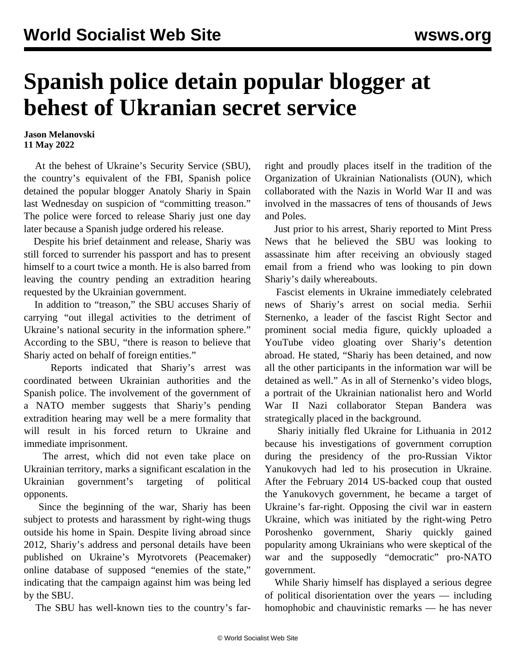## **Spanish police detain popular blogger at behest of Ukranian secret service**

**Jason Melanovski 11 May 2022**

 At the behest of Ukraine's Security Service (SBU), the country's equivalent of the FBI, Spanish police detained the popular blogger Anatoly Shariy in Spain last Wednesday on suspicion of "committing treason." The police were forced to release Shariy just one day later because a Spanish judge ordered his release.

 Despite his brief detainment and release, Shariy was still forced to surrender his passport and has to present himself to a court twice a month. He is also barred from leaving the country pending an extradition hearing requested by the Ukrainian government.

 In addition to "treason," the SBU accuses Shariy of carrying "out illegal activities to the detriment of Ukraine's national security in the information sphere." According to the SBU, "there is reason to believe that Shariy acted on behalf of foreign entities."

 Reports indicated that Shariy's arrest was coordinated between Ukrainian authorities and the Spanish police. The involvement of the government of a NATO member suggests that Shariy's pending extradition hearing may well be a mere formality that will result in his forced return to Ukraine and immediate imprisonment.

 The arrest, which did not even take place on Ukrainian territory, marks a significant escalation in the Ukrainian government's targeting of political opponents.

 Since the beginning of the war, Shariy has been subject to protests and harassment by right-wing thugs outside his home in Spain. Despite living abroad since 2012, Shariy's address and personal details have been published on Ukraine's Myrotvorets (Peacemaker) online database of supposed "enemies of the state," indicating that the campaign against him was being led by the SBU.

The SBU has well-known ties to the country's far-

right and proudly places itself in the tradition of the [Organization of Ukrainian Nationalists \(OUN\)](/en/articles/2014/06/09/fasc-j09.html), which collaborated with the Nazis in World War II and was involved in the massacres of tens of thousands of Jews and Poles.

 Just prior to his arrest, Shariy reported to Mint Press News that he believed the SBU was looking to assassinate him after receiving an obviously staged email from a friend who was looking to pin down Shariy's daily whereabouts.

 Fascist elements in Ukraine immediately celebrated news of Shariy's arrest on social media. Serhii Sternenko, a leader of the fascist Right Sector and prominent social media figure, quickly uploaded a YouTube video gloating over Shariy's detention abroad. He stated, "Shariy has been detained, and now all the other participants in the information war will be detained as well." As in all of Sternenko's video blogs, a portrait of the Ukrainian nationalist hero and World War II Nazi collaborator Stepan Bandera was strategically placed in the background.

 Shariy initially fled Ukraine for Lithuania in 2012 because his investigations of government corruption during the presidency of the pro-Russian Viktor Yanukovych had led to his prosecution in Ukraine. After the February 2014 US-backed coup that ousted the Yanukovych government, he became a target of Ukraine's far-right. Opposing the civil war in eastern Ukraine, which was initiated by the right-wing Petro Poroshenko government, Shariy quickly gained popularity among Ukrainians who were skeptical of the war and the supposedly "democratic" pro-NATO government.

 While Shariy himself has displayed a serious degree of political disorientation over the years — including homophobic and chauvinistic remarks — he has never